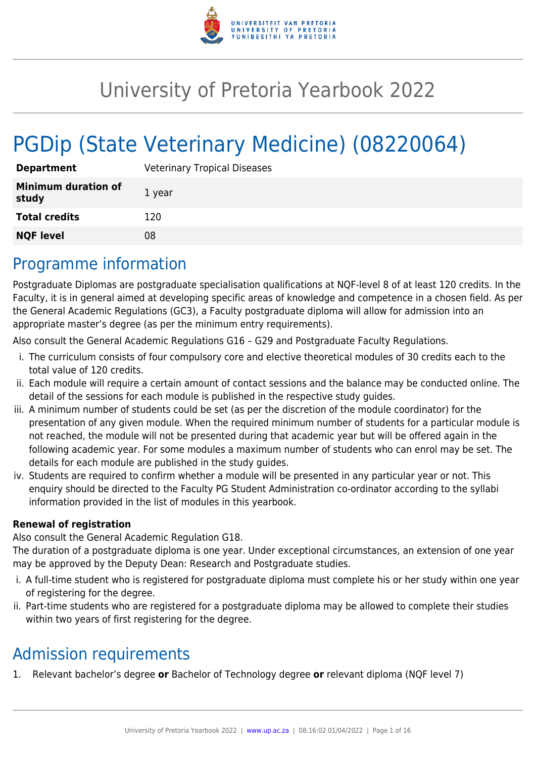

# University of Pretoria Yearbook 2022

# PGDip (State Veterinary Medicine) (08220064)

| <b>Department</b>                   | <b>Veterinary Tropical Diseases</b> |
|-------------------------------------|-------------------------------------|
| <b>Minimum duration of</b><br>study | 1 year                              |
| <b>Total credits</b>                | 120                                 |
| <b>NQF level</b>                    | 08                                  |

# Programme information

Postgraduate Diplomas are postgraduate specialisation qualifications at NQF-level 8 of at least 120 credits. In the Faculty, it is in general aimed at developing specific areas of knowledge and competence in a chosen field. As per the General Academic Regulations (GC3), a Faculty postgraduate diploma will allow for admission into an appropriate master's degree (as per the minimum entry requirements).

Also consult the General Academic Regulations G16 – G29 and Postgraduate Faculty Regulations.

- i. The curriculum consists of four compulsory core and elective theoretical modules of 30 credits each to the total value of 120 credits.
- ii. Each module will require a certain amount of contact sessions and the balance may be conducted online. The detail of the sessions for each module is published in the respective study guides.
- iii. A minimum number of students could be set (as per the discretion of the module coordinator) for the presentation of any given module. When the required minimum number of students for a particular module is not reached, the module will not be presented during that academic year but will be offered again in the following academic year. For some modules a maximum number of students who can enrol may be set. The details for each module are published in the study guides.
- iv. Students are required to confirm whether a module will be presented in any particular year or not. This enquiry should be directed to the Faculty PG Student Administration co-ordinator according to the syllabi information provided in the list of modules in this yearbook.

#### **Renewal of registration**

Also consult the General Academic Regulation G18.

The duration of a postgraduate diploma is one year. Under exceptional circumstances, an extension of one year may be approved by the Deputy Dean: Research and Postgraduate studies.

- i. A full-time student who is registered for postgraduate diploma must complete his or her study within one year of registering for the degree.
- ii. Part-time students who are registered for a postgraduate diploma may be allowed to complete their studies within two years of first registering for the degree.

# Admission requirements

1. Relevant bachelor's degree **or** Bachelor of Technology degree **or** relevant diploma (NQF level 7)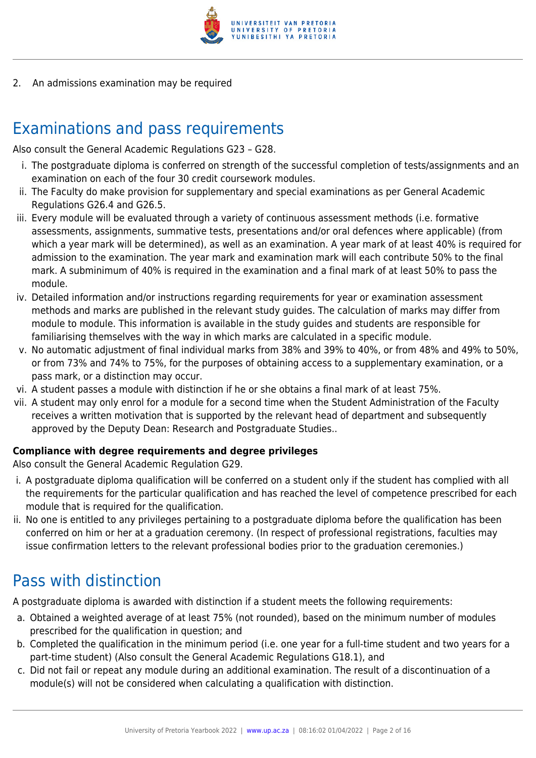

2. An admissions examination may be required

# Examinations and pass requirements

Also consult the General Academic Regulations G23 – G28.

- i. The postgraduate diploma is conferred on strength of the successful completion of tests/assignments and an examination on each of the four 30 credit coursework modules.
- ii. The Faculty do make provision for supplementary and special examinations as per General Academic Regulations G26.4 and G26.5.
- iii. Every module will be evaluated through a variety of continuous assessment methods (i.e. formative assessments, assignments, summative tests, presentations and/or oral defences where applicable) (from which a year mark will be determined), as well as an examination. A year mark of at least 40% is required for admission to the examination. The year mark and examination mark will each contribute 50% to the final mark. A subminimum of 40% is required in the examination and a final mark of at least 50% to pass the module.
- iv. Detailed information and/or instructions regarding requirements for year or examination assessment methods and marks are published in the relevant study guides. The calculation of marks may differ from module to module. This information is available in the study guides and students are responsible for familiarising themselves with the way in which marks are calculated in a specific module.
- v. No automatic adjustment of final individual marks from 38% and 39% to 40%, or from 48% and 49% to 50%, or from 73% and 74% to 75%, for the purposes of obtaining access to a supplementary examination, or a pass mark, or a distinction may occur.
- vi. A student passes a module with distinction if he or she obtains a final mark of at least 75%.
- vii. A student may only enrol for a module for a second time when the Student Administration of the Faculty receives a written motivation that is supported by the relevant head of department and subsequently approved by the Deputy Dean: Research and Postgraduate Studies..

#### **Compliance with degree requirements and degree privileges**

Also consult the General Academic Regulation G29.

- i. A postgraduate diploma qualification will be conferred on a student only if the student has complied with all the requirements for the particular qualification and has reached the level of competence prescribed for each module that is required for the qualification.
- ii. No one is entitled to any privileges pertaining to a postgraduate diploma before the qualification has been conferred on him or her at a graduation ceremony. (In respect of professional registrations, faculties may issue confirmation letters to the relevant professional bodies prior to the graduation ceremonies.)

# Pass with distinction

A postgraduate diploma is awarded with distinction if a student meets the following requirements:

- a. Obtained a weighted average of at least 75% (not rounded), based on the minimum number of modules prescribed for the qualification in question; and
- b. Completed the qualification in the minimum period (i.e. one year for a full-time student and two years for a part-time student) (Also consult the General Academic Regulations G18.1), and
- c. Did not fail or repeat any module during an additional examination. The result of a discontinuation of a module(s) will not be considered when calculating a qualification with distinction.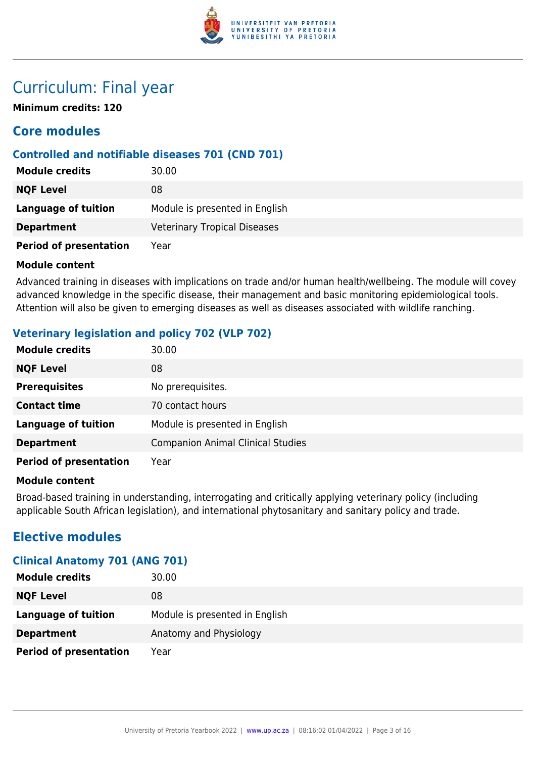

# Curriculum: Final year

**Minimum credits: 120**

# **Core modules**

### **Controlled and notifiable diseases 701 (CND 701)**

| <b>Module credits</b>         | 30.00                               |
|-------------------------------|-------------------------------------|
| <b>NQF Level</b>              | 08                                  |
| Language of tuition           | Module is presented in English      |
| <b>Department</b>             | <b>Veterinary Tropical Diseases</b> |
| <b>Period of presentation</b> | Year                                |

#### **Module content**

Advanced training in diseases with implications on trade and/or human health/wellbeing. The module will covey advanced knowledge in the specific disease, their management and basic monitoring epidemiological tools. Attention will also be given to emerging diseases as well as diseases associated with wildlife ranching.

# **Veterinary legislation and policy 702 (VLP 702)**

| <b>Module credits</b>         | 30.00                                    |
|-------------------------------|------------------------------------------|
| <b>NQF Level</b>              | 08                                       |
| <b>Prerequisites</b>          | No prerequisites.                        |
| <b>Contact time</b>           | 70 contact hours                         |
| <b>Language of tuition</b>    | Module is presented in English           |
| <b>Department</b>             | <b>Companion Animal Clinical Studies</b> |
| <b>Period of presentation</b> | Year                                     |

#### **Module content**

Broad-based training in understanding, interrogating and critically applying veterinary policy (including applicable South African legislation), and international phytosanitary and sanitary policy and trade.

# **Elective modules**

# **Clinical Anatomy 701 (ANG 701)**

| <b>Module credits</b>         | 30.00                          |
|-------------------------------|--------------------------------|
| <b>NQF Level</b>              | 08                             |
| Language of tuition           | Module is presented in English |
| <b>Department</b>             | Anatomy and Physiology         |
| <b>Period of presentation</b> | Year                           |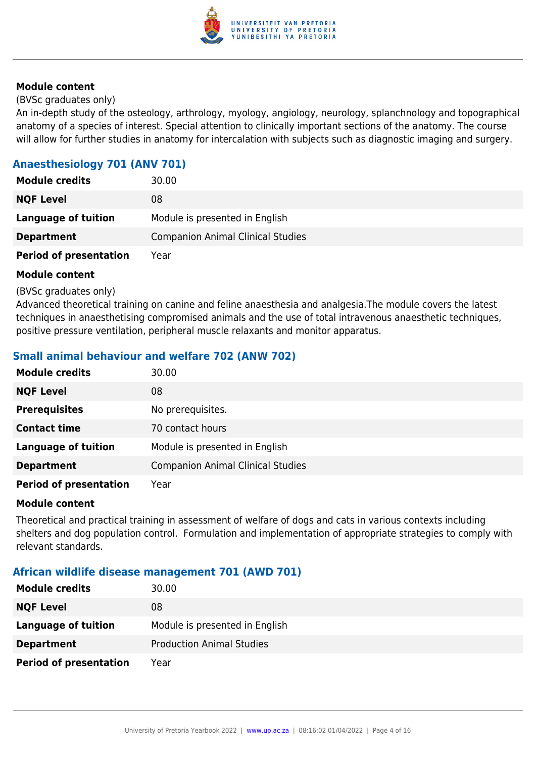

#### (BVSc graduates only)

An in-depth study of the osteology, arthrology, myology, angiology, neurology, splanchnology and topographical anatomy of a species of interest. Special attention to clinically important sections of the anatomy. The course will allow for further studies in anatomy for intercalation with subjects such as diagnostic imaging and surgery.

# **Anaesthesiology 701 (ANV 701)**

| <b>Module credits</b>         | 30.00                                    |
|-------------------------------|------------------------------------------|
| <b>NQF Level</b>              | 08                                       |
| Language of tuition           | Module is presented in English           |
| <b>Department</b>             | <b>Companion Animal Clinical Studies</b> |
| <b>Period of presentation</b> | Year                                     |

#### **Module content**

(BVSc graduates only)

Advanced theoretical training on canine and feline anaesthesia and analgesia.The module covers the latest techniques in anaesthetising compromised animals and the use of total intravenous anaesthetic techniques, positive pressure ventilation, peripheral muscle relaxants and monitor apparatus.

# **Small animal behaviour and welfare 702 (ANW 702)**

| <b>Module credits</b>         | 30.00                                    |
|-------------------------------|------------------------------------------|
| <b>NQF Level</b>              | 08                                       |
| <b>Prerequisites</b>          | No prerequisites.                        |
| <b>Contact time</b>           | 70 contact hours                         |
| <b>Language of tuition</b>    | Module is presented in English           |
| <b>Department</b>             | <b>Companion Animal Clinical Studies</b> |
| <b>Period of presentation</b> | Year                                     |

#### **Module content**

Theoretical and practical training in assessment of welfare of dogs and cats in various contexts including shelters and dog population control. Formulation and implementation of appropriate strategies to comply with relevant standards.

#### **African wildlife disease management 701 (AWD 701)**

| <b>Module credits</b>         | 30.00                            |
|-------------------------------|----------------------------------|
| <b>NQF Level</b>              | 08                               |
| <b>Language of tuition</b>    | Module is presented in English   |
| <b>Department</b>             | <b>Production Animal Studies</b> |
| <b>Period of presentation</b> | Year                             |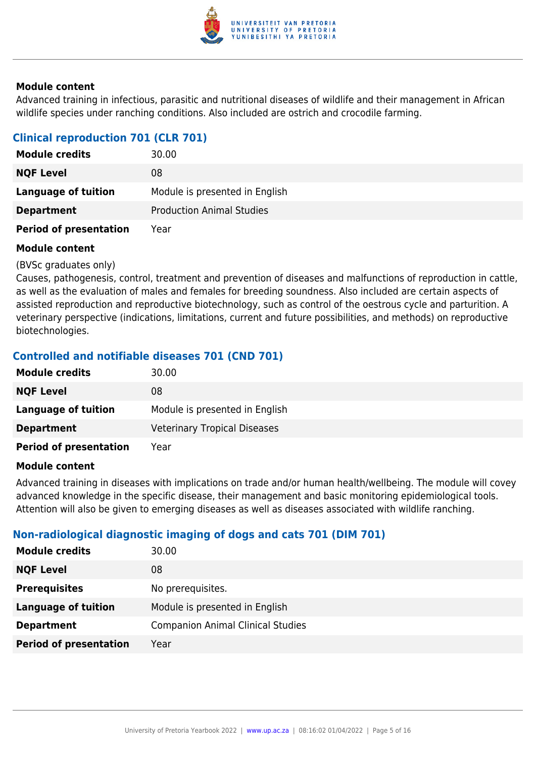

Advanced training in infectious, parasitic and nutritional diseases of wildlife and their management in African wildlife species under ranching conditions. Also included are ostrich and crocodile farming.

# **Clinical reproduction 701 (CLR 701)**

| <b>Module credits</b>         | 30.00                            |
|-------------------------------|----------------------------------|
| <b>NQF Level</b>              | 08                               |
| Language of tuition           | Module is presented in English   |
| <b>Department</b>             | <b>Production Animal Studies</b> |
| <b>Period of presentation</b> | Year                             |

#### **Module content**

(BVSc graduates only)

Causes, pathogenesis, control, treatment and prevention of diseases and malfunctions of reproduction in cattle, as well as the evaluation of males and females for breeding soundness. Also included are certain aspects of assisted reproduction and reproductive biotechnology, such as control of the oestrous cycle and parturition. A veterinary perspective (indications, limitations, current and future possibilities, and methods) on reproductive biotechnologies.

# **Controlled and notifiable diseases 701 (CND 701)**

| <b>Module credits</b>         | 30.00                               |
|-------------------------------|-------------------------------------|
| <b>NQF Level</b>              | 08                                  |
| Language of tuition           | Module is presented in English      |
| <b>Department</b>             | <b>Veterinary Tropical Diseases</b> |
| <b>Period of presentation</b> | Year                                |

#### **Module content**

Advanced training in diseases with implications on trade and/or human health/wellbeing. The module will covey advanced knowledge in the specific disease, their management and basic monitoring epidemiological tools. Attention will also be given to emerging diseases as well as diseases associated with wildlife ranching.

#### **Non-radiological diagnostic imaging of dogs and cats 701 (DIM 701)**

| <b>NQF Level</b><br>08<br><b>Prerequisites</b><br>No prerequisites.<br>Module is presented in English<br><b>Language of tuition</b><br><b>Companion Animal Clinical Studies</b><br><b>Department</b> | <b>Module credits</b> | 30.00 |
|------------------------------------------------------------------------------------------------------------------------------------------------------------------------------------------------------|-----------------------|-------|
|                                                                                                                                                                                                      |                       |       |
|                                                                                                                                                                                                      |                       |       |
|                                                                                                                                                                                                      |                       |       |
|                                                                                                                                                                                                      |                       |       |
| <b>Period of presentation</b><br>Year                                                                                                                                                                |                       |       |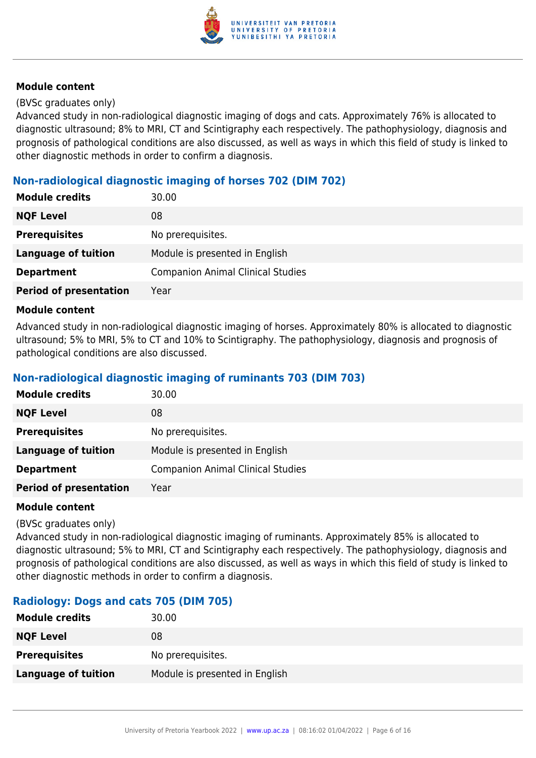

#### (BVSc graduates only)

Advanced study in non-radiological diagnostic imaging of dogs and cats. Approximately 76% is allocated to diagnostic ultrasound; 8% to MRI, CT and Scintigraphy each respectively. The pathophysiology, diagnosis and prognosis of pathological conditions are also discussed, as well as ways in which this field of study is linked to other diagnostic methods in order to confirm a diagnosis.

# **Non-radiological diagnostic imaging of horses 702 (DIM 702)**

| <b>Module credits</b>         | 30.00                                    |
|-------------------------------|------------------------------------------|
| <b>NQF Level</b>              | 08                                       |
| <b>Prerequisites</b>          | No prerequisites.                        |
| <b>Language of tuition</b>    | Module is presented in English           |
| <b>Department</b>             | <b>Companion Animal Clinical Studies</b> |
| <b>Period of presentation</b> | Year                                     |

#### **Module content**

Advanced study in non-radiological diagnostic imaging of horses. Approximately 80% is allocated to diagnostic ultrasound; 5% to MRI, 5% to CT and 10% to Scintigraphy. The pathophysiology, diagnosis and prognosis of pathological conditions are also discussed.

#### **Non-radiological diagnostic imaging of ruminants 703 (DIM 703)**

| <b>Module credits</b>         | 30.00                                    |
|-------------------------------|------------------------------------------|
| <b>NQF Level</b>              | 08                                       |
| <b>Prerequisites</b>          | No prerequisites.                        |
| <b>Language of tuition</b>    | Module is presented in English           |
| <b>Department</b>             | <b>Companion Animal Clinical Studies</b> |
| <b>Period of presentation</b> | Year                                     |

#### **Module content**

#### (BVSc graduates only)

Advanced study in non-radiological diagnostic imaging of ruminants. Approximately 85% is allocated to diagnostic ultrasound; 5% to MRI, CT and Scintigraphy each respectively. The pathophysiology, diagnosis and prognosis of pathological conditions are also discussed, as well as ways in which this field of study is linked to other diagnostic methods in order to confirm a diagnosis.

#### **Radiology: Dogs and cats 705 (DIM 705)**

| <b>Module credits</b>      | 30.00                          |
|----------------------------|--------------------------------|
| <b>NQF Level</b>           | 08                             |
| <b>Prerequisites</b>       | No prerequisites.              |
| <b>Language of tuition</b> | Module is presented in English |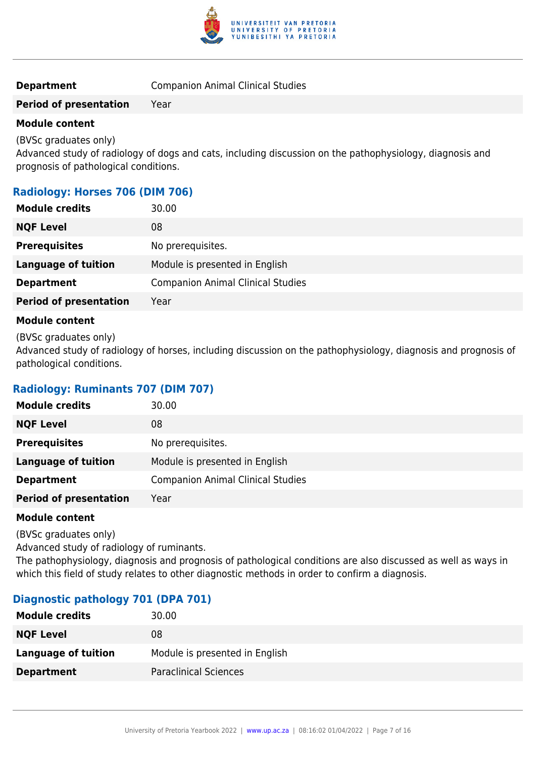

#### **Department Companion Animal Clinical Studies**

#### **Period of presentation** Year

#### **Module content**

(BVSc graduates only)

Advanced study of radiology of dogs and cats, including discussion on the pathophysiology, diagnosis and prognosis of pathological conditions.

#### **Radiology: Horses 706 (DIM 706)**

| <b>Module credits</b>         | 30.00                                    |
|-------------------------------|------------------------------------------|
| <b>NQF Level</b>              | 08                                       |
| <b>Prerequisites</b>          | No prerequisites.                        |
| <b>Language of tuition</b>    | Module is presented in English           |
| <b>Department</b>             | <b>Companion Animal Clinical Studies</b> |
| <b>Period of presentation</b> | Year                                     |
|                               |                                          |

#### **Module content**

(BVSc graduates only)

Advanced study of radiology of horses, including discussion on the pathophysiology, diagnosis and prognosis of pathological conditions.

#### **Radiology: Ruminants 707 (DIM 707)**

| <b>Module credits</b>         | 30.00                                    |
|-------------------------------|------------------------------------------|
| <b>NQF Level</b>              | 08                                       |
| <b>Prerequisites</b>          | No prerequisites.                        |
| <b>Language of tuition</b>    | Module is presented in English           |
| <b>Department</b>             | <b>Companion Animal Clinical Studies</b> |
| <b>Period of presentation</b> | Year                                     |

#### **Module content**

(BVSc graduates only)

Advanced study of radiology of ruminants.

The pathophysiology, diagnosis and prognosis of pathological conditions are also discussed as well as ways in which this field of study relates to other diagnostic methods in order to confirm a diagnosis.

#### **Diagnostic pathology 701 (DPA 701)**

| <b>Module credits</b> | 30.00                          |
|-----------------------|--------------------------------|
| <b>NQF Level</b>      | 08                             |
| Language of tuition   | Module is presented in English |
| <b>Department</b>     | <b>Paraclinical Sciences</b>   |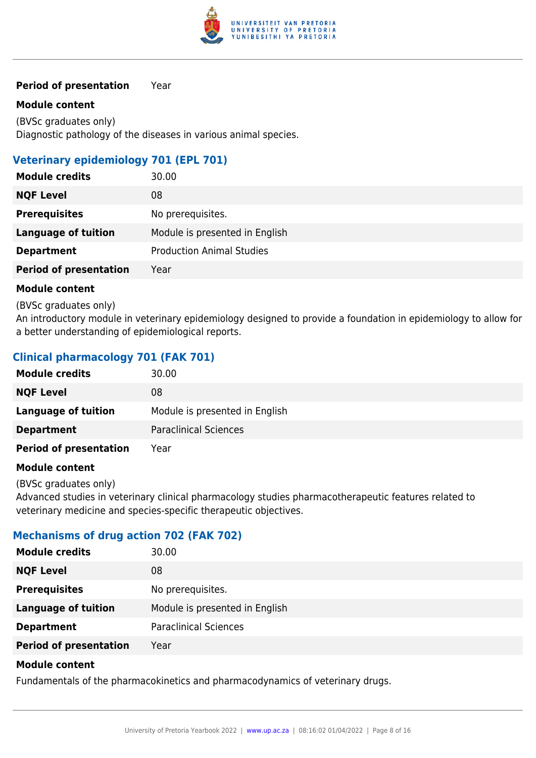

#### **Period of presentation** Year

#### **Module content**

(BVSc graduates only) Diagnostic pathology of the diseases in various animal species.

# **Veterinary epidemiology 701 (EPL 701)**

| <b>Module credits</b>         | 30.00                            |
|-------------------------------|----------------------------------|
| <b>NQF Level</b>              | 08                               |
| <b>Prerequisites</b>          | No prerequisites.                |
| <b>Language of tuition</b>    | Module is presented in English   |
| <b>Department</b>             | <b>Production Animal Studies</b> |
| <b>Period of presentation</b> | Year                             |

#### **Module content**

(BVSc graduates only)

An introductory module in veterinary epidemiology designed to provide a foundation in epidemiology to allow for a better understanding of epidemiological reports.

# **Clinical pharmacology 701 (FAK 701)**

| <b>Module credits</b>         | 30.00                          |
|-------------------------------|--------------------------------|
| <b>NQF Level</b>              | 08                             |
| Language of tuition           | Module is presented in English |
| <b>Department</b>             | <b>Paraclinical Sciences</b>   |
| <b>Period of presentation</b> | Year                           |

#### **Module content**

(BVSc graduates only)

Advanced studies in veterinary clinical pharmacology studies pharmacotherapeutic features related to veterinary medicine and species-specific therapeutic objectives.

#### **Mechanisms of drug action 702 (FAK 702)**

| <b>Module credits</b>         | 30.00                          |
|-------------------------------|--------------------------------|
| <b>NQF Level</b><br>08        |                                |
| <b>Prerequisites</b>          | No prerequisites.              |
| <b>Language of tuition</b>    | Module is presented in English |
| <b>Department</b>             | <b>Paraclinical Sciences</b>   |
| <b>Period of presentation</b> | Year                           |

#### **Module content**

Fundamentals of the pharmacokinetics and pharmacodynamics of veterinary drugs.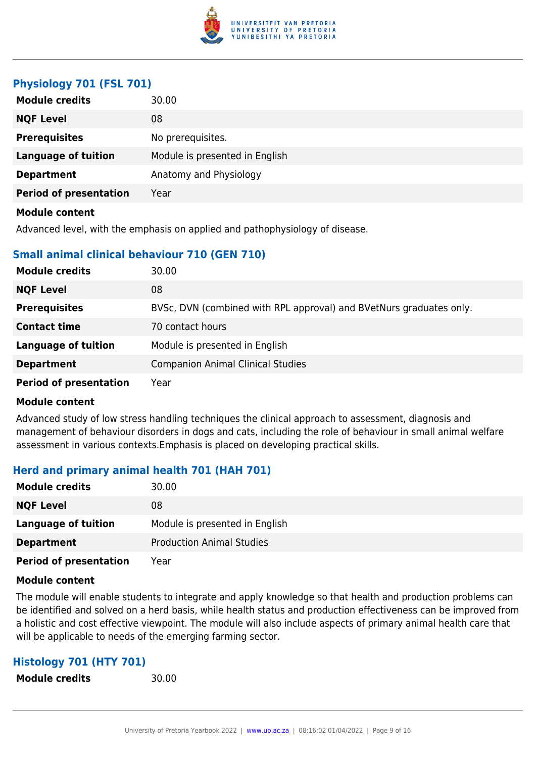

#### **Physiology 701 (FSL 701)**

| <b>Module credits</b>         | 30.00                          |
|-------------------------------|--------------------------------|
| <b>NQF Level</b>              | 08                             |
| <b>Prerequisites</b>          | No prerequisites.              |
| <b>Language of tuition</b>    | Module is presented in English |
| <b>Department</b>             | Anatomy and Physiology         |
| <b>Period of presentation</b> | Year                           |
| <b>Module content</b>         |                                |

Advanced level, with the emphasis on applied and pathophysiology of disease.

#### **Small animal clinical behaviour 710 (GEN 710)**

| <b>Module credits</b>         | 30.00                                                               |
|-------------------------------|---------------------------------------------------------------------|
| <b>NQF Level</b>              | 08                                                                  |
| <b>Prerequisites</b>          | BVSc, DVN (combined with RPL approval) and BVetNurs graduates only. |
| <b>Contact time</b>           | 70 contact hours                                                    |
| <b>Language of tuition</b>    | Module is presented in English                                      |
| <b>Department</b>             | <b>Companion Animal Clinical Studies</b>                            |
| <b>Period of presentation</b> | Year                                                                |

#### **Module content**

Advanced study of low stress handling techniques the clinical approach to assessment, diagnosis and management of behaviour disorders in dogs and cats, including the role of behaviour in small animal welfare assessment in various contexts.Emphasis is placed on developing practical skills.

#### **Herd and primary animal health 701 (HAH 701)**

| <b>Module credits</b>         | 30.00                            |
|-------------------------------|----------------------------------|
| <b>NQF Level</b>              | 08                               |
| <b>Language of tuition</b>    | Module is presented in English   |
| <b>Department</b>             | <b>Production Animal Studies</b> |
| <b>Period of presentation</b> | Year                             |

#### **Module content**

The module will enable students to integrate and apply knowledge so that health and production problems can be identified and solved on a herd basis, while health status and production effectiveness can be improved from a holistic and cost effective viewpoint. The module will also include aspects of primary animal health care that will be applicable to needs of the emerging farming sector.

#### **Histology 701 (HTY 701)**

**Module credits** 30.00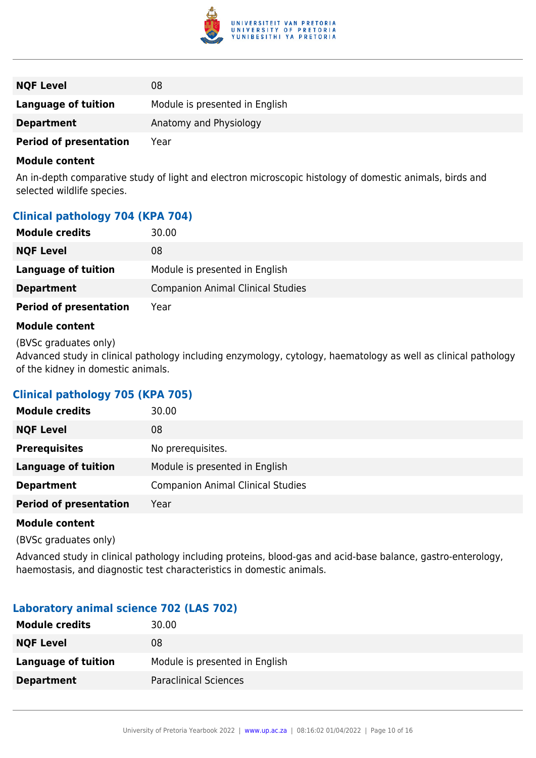

| <b>NQF Level</b>              | 08                             |
|-------------------------------|--------------------------------|
| <b>Language of tuition</b>    | Module is presented in English |
| <b>Department</b>             | Anatomy and Physiology         |
| <b>Period of presentation</b> | Year                           |

An in-depth comparative study of light and electron microscopic histology of domestic animals, birds and selected wildlife species.

#### **Clinical pathology 704 (KPA 704)**

| <b>Module credits</b>         | 30.00                                    |
|-------------------------------|------------------------------------------|
| <b>NQF Level</b>              | 08                                       |
| <b>Language of tuition</b>    | Module is presented in English           |
| <b>Department</b>             | <b>Companion Animal Clinical Studies</b> |
| <b>Period of presentation</b> | Year                                     |

#### **Module content**

(BVSc graduates only)

Advanced study in clinical pathology including enzymology, cytology, haematology as well as clinical pathology of the kidney in domestic animals.

#### **Clinical pathology 705 (KPA 705)**

| 30.00                                    |
|------------------------------------------|
| 08                                       |
| No prerequisites.                        |
| Module is presented in English           |
| <b>Companion Animal Clinical Studies</b> |
| Year                                     |
|                                          |

#### **Module content**

(BVSc graduates only)

Advanced study in clinical pathology including proteins, blood-gas and acid-base balance, gastro-enterology, haemostasis, and diagnostic test characteristics in domestic animals.

#### **Laboratory animal science 702 (LAS 702)**

| <b>Module credits</b> | 30.00                          |
|-----------------------|--------------------------------|
| <b>NQF Level</b>      | 08                             |
| Language of tuition   | Module is presented in English |
| <b>Department</b>     | <b>Paraclinical Sciences</b>   |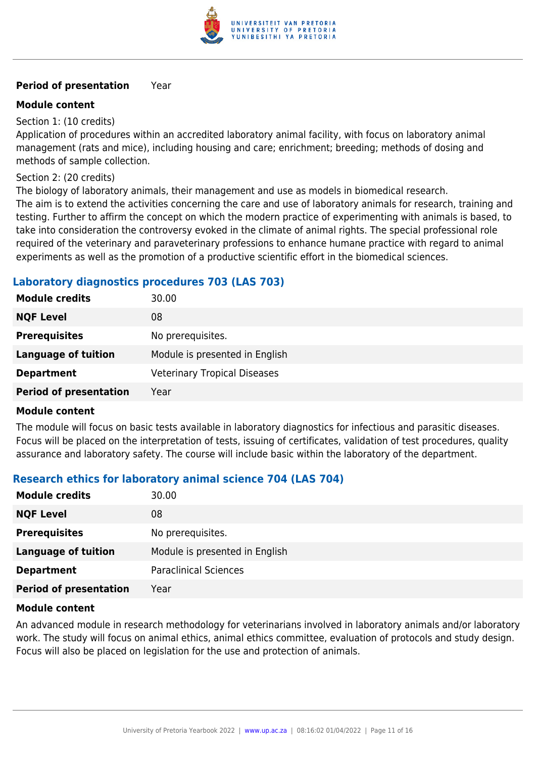

#### **Period of presentation** Year

#### **Module content**

Section 1: (10 credits)

Application of procedures within an accredited laboratory animal facility, with focus on laboratory animal management (rats and mice), including housing and care; enrichment; breeding; methods of dosing and methods of sample collection.

Section 2: (20 credits)

The biology of laboratory animals, their management and use as models in biomedical research. The aim is to extend the activities concerning the care and use of laboratory animals for research, training and testing. Further to affirm the concept on which the modern practice of experimenting with animals is based, to take into consideration the controversy evoked in the climate of animal rights. The special professional role required of the veterinary and paraveterinary professions to enhance humane practice with regard to animal experiments as well as the promotion of a productive scientific effort in the biomedical sciences.

#### **Laboratory diagnostics procedures 703 (LAS 703)**

| <b>Module credits</b>         | 30.00                               |
|-------------------------------|-------------------------------------|
| <b>NQF Level</b>              | 08                                  |
| <b>Prerequisites</b>          | No prerequisites.                   |
| <b>Language of tuition</b>    | Module is presented in English      |
| <b>Department</b>             | <b>Veterinary Tropical Diseases</b> |
| <b>Period of presentation</b> | Year                                |

#### **Module content**

The module will focus on basic tests available in laboratory diagnostics for infectious and parasitic diseases. Focus will be placed on the interpretation of tests, issuing of certificates, validation of test procedures, quality assurance and laboratory safety. The course will include basic within the laboratory of the department.

#### **Research ethics for laboratory animal science 704 (LAS 704)**

| <b>Module credits</b>         | 30.00                          |
|-------------------------------|--------------------------------|
| <b>NQF Level</b>              | 08                             |
| <b>Prerequisites</b>          | No prerequisites.              |
| <b>Language of tuition</b>    | Module is presented in English |
| <b>Department</b>             | <b>Paraclinical Sciences</b>   |
| <b>Period of presentation</b> | Year                           |

#### **Module content**

An advanced module in research methodology for veterinarians involved in laboratory animals and/or laboratory work. The study will focus on animal ethics, animal ethics committee, evaluation of protocols and study design. Focus will also be placed on legislation for the use and protection of animals.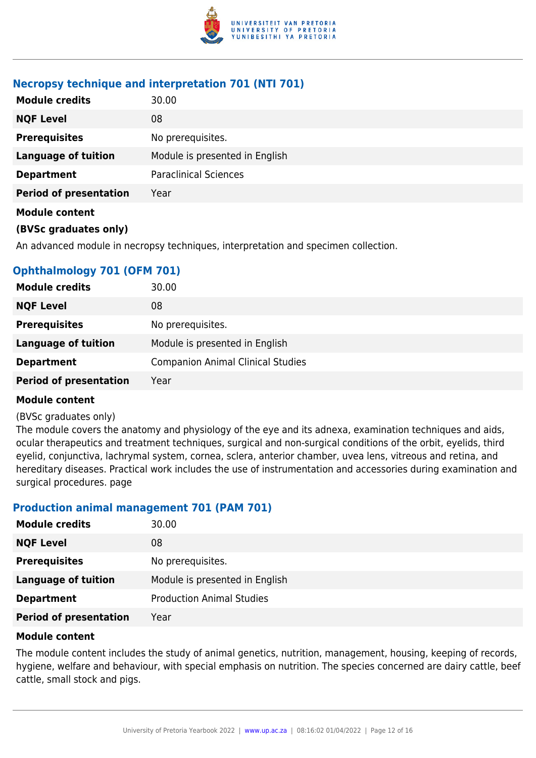

#### **Necropsy technique and interpretation 701 (NTI 701)**

| 30.00                          |
|--------------------------------|
| 08                             |
| No prerequisites.              |
| Module is presented in English |
| <b>Paraclinical Sciences</b>   |
| Year                           |
|                                |
|                                |

An advanced module in necropsy techniques, interpretation and specimen collection.

# **Ophthalmology 701 (OFM 701)**

| <b>Module credits</b>         | 30.00                                    |
|-------------------------------|------------------------------------------|
| <b>NQF Level</b>              | 08                                       |
| <b>Prerequisites</b>          | No prerequisites.                        |
| <b>Language of tuition</b>    | Module is presented in English           |
| <b>Department</b>             | <b>Companion Animal Clinical Studies</b> |
| <b>Period of presentation</b> | Year                                     |

#### **Module content**

#### (BVSc graduates only)

The module covers the anatomy and physiology of the eye and its adnexa, examination techniques and aids, ocular therapeutics and treatment techniques, surgical and non-surgical conditions of the orbit, eyelids, third eyelid, conjunctiva, lachrymal system, cornea, sclera, anterior chamber, uvea lens, vitreous and retina, and hereditary diseases. Practical work includes the use of instrumentation and accessories during examination and surgical procedures. page

#### **Production animal management 701 (PAM 701)**

| <b>Module credits</b>         | 30.00                            |
|-------------------------------|----------------------------------|
| <b>NQF Level</b>              | 08                               |
| <b>Prerequisites</b>          | No prerequisites.                |
| <b>Language of tuition</b>    | Module is presented in English   |
| <b>Department</b>             | <b>Production Animal Studies</b> |
| <b>Period of presentation</b> | Year                             |

#### **Module content**

The module content includes the study of animal genetics, nutrition, management, housing, keeping of records, hygiene, welfare and behaviour, with special emphasis on nutrition. The species concerned are dairy cattle, beef cattle, small stock and pigs.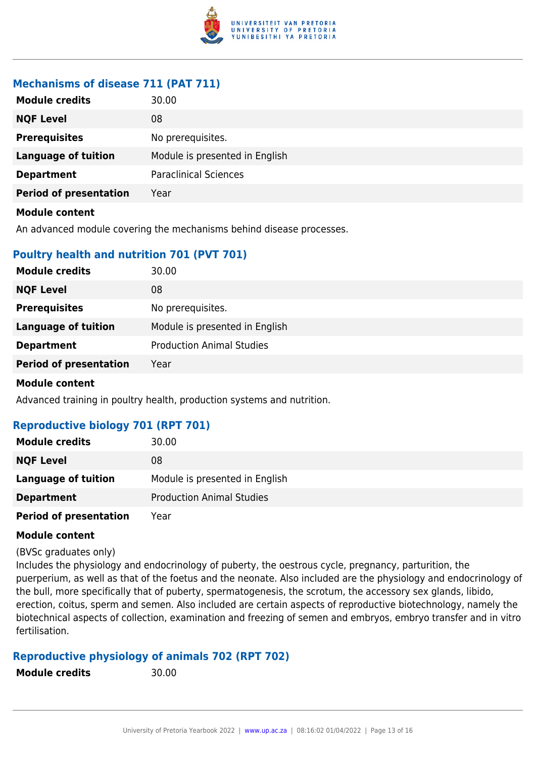

# **Mechanisms of disease 711 (PAT 711)**

| <b>Module credits</b>         | 30.00                          |
|-------------------------------|--------------------------------|
| <b>NQF Level</b>              | 08                             |
| <b>Prerequisites</b>          | No prerequisites.              |
| <b>Language of tuition</b>    | Module is presented in English |
| <b>Department</b>             | <b>Paraclinical Sciences</b>   |
| <b>Period of presentation</b> | Year                           |
| <b>Module content</b>         |                                |

An advanced module covering the mechanisms behind disease processes.

# **Poultry health and nutrition 701 (PVT 701)**

| <b>Module credits</b>         | 30.00                            |
|-------------------------------|----------------------------------|
| <b>NQF Level</b>              | 08                               |
| <b>Prerequisites</b>          | No prerequisites.                |
| <b>Language of tuition</b>    | Module is presented in English   |
| <b>Department</b>             | <b>Production Animal Studies</b> |
| <b>Period of presentation</b> | Year                             |
|                               |                                  |

#### **Module content**

Advanced training in poultry health, production systems and nutrition.

#### **Reproductive biology 701 (RPT 701)**

| <b>Module credits</b>         | 30.00                            |
|-------------------------------|----------------------------------|
| <b>NQF Level</b>              | 08                               |
| Language of tuition           | Module is presented in English   |
| <b>Department</b>             | <b>Production Animal Studies</b> |
| <b>Period of presentation</b> | Year                             |

#### **Module content**

(BVSc graduates only)

Includes the physiology and endocrinology of puberty, the oestrous cycle, pregnancy, parturition, the puerperium, as well as that of the foetus and the neonate. Also included are the physiology and endocrinology of the bull, more specifically that of puberty, spermatogenesis, the scrotum, the accessory sex glands, libido, erection, coitus, sperm and semen. Also included are certain aspects of reproductive biotechnology, namely the biotechnical aspects of collection, examination and freezing of semen and embryos, embryo transfer and in vitro fertilisation.

# **Reproductive physiology of animals 702 (RPT 702)**

**Module credits** 30.00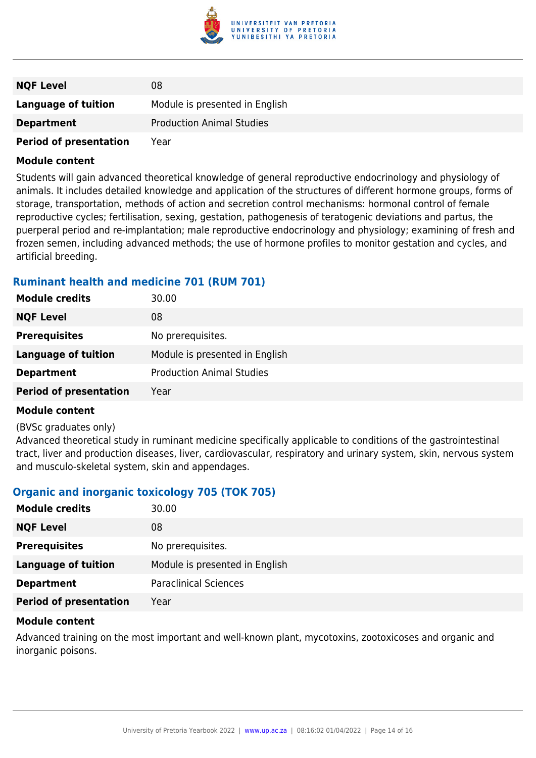

| <b>NQF Level</b>              | 08                               |
|-------------------------------|----------------------------------|
| Language of tuition           | Module is presented in English   |
| <b>Department</b>             | <b>Production Animal Studies</b> |
| <b>Period of presentation</b> | Year                             |

Students will gain advanced theoretical knowledge of general reproductive endocrinology and physiology of animals. It includes detailed knowledge and application of the structures of different hormone groups, forms of storage, transportation, methods of action and secretion control mechanisms: hormonal control of female reproductive cycles; fertilisation, sexing, gestation, pathogenesis of teratogenic deviations and partus, the puerperal period and re-implantation; male reproductive endocrinology and physiology; examining of fresh and frozen semen, including advanced methods; the use of hormone profiles to monitor gestation and cycles, and artificial breeding.

#### **Ruminant health and medicine 701 (RUM 701)**

| <b>Module credits</b>         | 30.00                            |
|-------------------------------|----------------------------------|
| <b>NQF Level</b>              | 08                               |
| <b>Prerequisites</b>          | No prerequisites.                |
| <b>Language of tuition</b>    | Module is presented in English   |
| <b>Department</b>             | <b>Production Animal Studies</b> |
| <b>Period of presentation</b> | Year                             |

#### **Module content**

#### (BVSc graduates only)

Advanced theoretical study in ruminant medicine specifically applicable to conditions of the gastrointestinal tract, liver and production diseases, liver, cardiovascular, respiratory and urinary system, skin, nervous system and musculo-skeletal system, skin and appendages.

#### **Organic and inorganic toxicology 705 (TOK 705)**

| <b>Module credits</b>         | 30.00                          |
|-------------------------------|--------------------------------|
| <b>NQF Level</b>              | 08                             |
| <b>Prerequisites</b>          | No prerequisites.              |
| <b>Language of tuition</b>    | Module is presented in English |
| <b>Department</b>             | <b>Paraclinical Sciences</b>   |
| <b>Period of presentation</b> | Year                           |

#### **Module content**

Advanced training on the most important and well-known plant, mycotoxins, zootoxicoses and organic and inorganic poisons.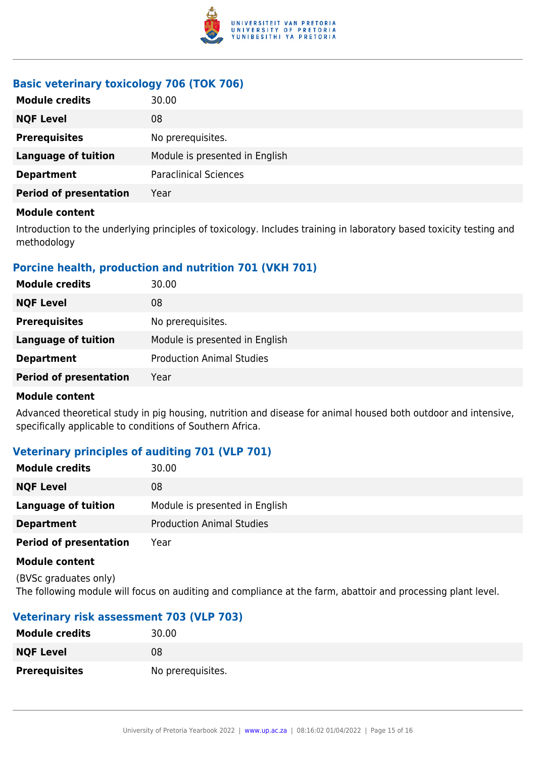

# **Basic veterinary toxicology 706 (TOK 706)**

| <b>Module credits</b>         | 30.00                          |
|-------------------------------|--------------------------------|
| <b>NQF Level</b>              | 08                             |
| <b>Prerequisites</b>          | No prerequisites.              |
| <b>Language of tuition</b>    | Module is presented in English |
| <b>Department</b>             | <b>Paraclinical Sciences</b>   |
| <b>Period of presentation</b> | Year                           |

#### **Module content**

Introduction to the underlying principles of toxicology. Includes training in laboratory based toxicity testing and methodology

# **Porcine health, production and nutrition 701 (VKH 701)**

| <b>Module credits</b>         | 30.00                            |
|-------------------------------|----------------------------------|
| <b>NQF Level</b>              | 08                               |
| <b>Prerequisites</b>          | No prerequisites.                |
| <b>Language of tuition</b>    | Module is presented in English   |
| <b>Department</b>             | <b>Production Animal Studies</b> |
| <b>Period of presentation</b> | Year                             |

#### **Module content**

Advanced theoretical study in pig housing, nutrition and disease for animal housed both outdoor and intensive, specifically applicable to conditions of Southern Africa.

# **Veterinary principles of auditing 701 (VLP 701)**

| <b>Module credits</b>         | 30.00                            |
|-------------------------------|----------------------------------|
| <b>NQF Level</b>              | 08                               |
| Language of tuition           | Module is presented in English   |
| <b>Department</b>             | <b>Production Animal Studies</b> |
| <b>Period of presentation</b> | Year                             |

#### **Module content**

(BVSc graduates only) The following module will focus on auditing and compliance at the farm, abattoir and processing plant level.

# **Veterinary risk assessment 703 (VLP 703)**

| <b>Module credits</b> | 30.00             |
|-----------------------|-------------------|
| <b>NQF Level</b>      | 08                |
| <b>Prerequisites</b>  | No prerequisites. |